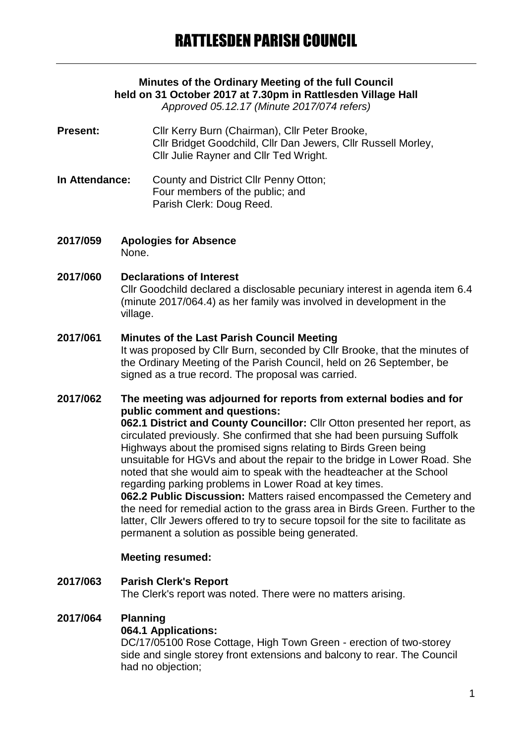## **Minutes of the Ordinary Meeting of the full Council held on 31 October 2017 at 7.30pm in Rattlesden Village Hall**

*Approved 05.12.17 (Minute 2017/074 refers)*

- Present: Cllr Kerry Burn (Chairman), Cllr Peter Brooke, Cllr Bridget Goodchild, Cllr Dan Jewers, Cllr Russell Morley, Cllr Julie Rayner and Cllr Ted Wright.
- **In Attendance:** County and District Cllr Penny Otton; Four members of the public; and Parish Clerk: Doug Reed.
- **2017/059 Apologies for Absence** None.

#### **2017/060 Declarations of Interest**

Cllr Goodchild declared a disclosable pecuniary interest in agenda item 6.4 (minute 2017/064.4) as her family was involved in development in the village.

#### **2017/061 Minutes of the Last Parish Council Meeting**

It was proposed by Cllr Burn, seconded by Cllr Brooke, that the minutes of the Ordinary Meeting of the Parish Council, held on 26 September, be signed as a true record. The proposal was carried.

#### **2017/062 The meeting was adjourned for reports from external bodies and for public comment and questions:**

**062.1 District and County Councillor:** Cllr Otton presented her report, as circulated previously. She confirmed that she had been pursuing Suffolk Highways about the promised signs relating to Birds Green being unsuitable for HGVs and about the repair to the bridge in Lower Road. She noted that she would aim to speak with the headteacher at the School regarding parking problems in Lower Road at key times.

**062.2 Public Discussion:** Matters raised encompassed the Cemetery and the need for remedial action to the grass area in Birds Green. Further to the latter, Cllr Jewers offered to try to secure topsoil for the site to facilitate as permanent a solution as possible being generated.

#### **Meeting resumed:**

# **2017/063 Parish Clerk's Report**

The Clerk's report was noted. There were no matters arising.

## **2017/064 Planning**

#### **064.1 Applications:**

DC/17/05100 Rose Cottage, High Town Green - erection of two-storey side and single storey front extensions and balcony to rear. The Council had no objection;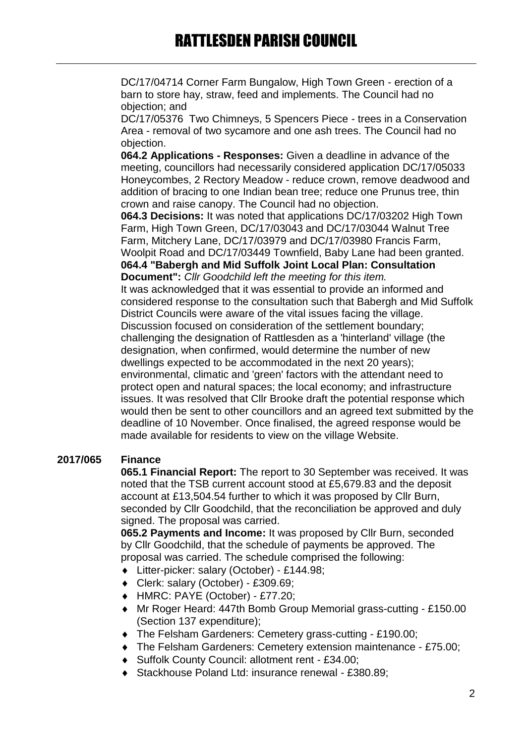DC/17/04714 Corner Farm Bungalow, High Town Green - erection of a barn to store hay, straw, feed and implements. The Council had no objection; and

DC/17/05376 Two Chimneys, 5 Spencers Piece - trees in a Conservation Area - removal of two sycamore and one ash trees. The Council had no objection.

**064.2 Applications - Responses:** Given a deadline in advance of the meeting, councillors had necessarily considered application DC/17/05033 Honeycombes, 2 Rectory Meadow - reduce crown, remove deadwood and addition of bracing to one Indian bean tree; reduce one Prunus tree, thin crown and raise canopy. The Council had no objection.

**064.3 Decisions:** It was noted that applications DC/17/03202 High Town Farm, High Town Green, DC/17/03043 and DC/17/03044 Walnut Tree Farm, Mitchery Lane, DC/17/03979 and DC/17/03980 Francis Farm, Woolpit Road and DC/17/03449 Townfield, Baby Lane had been granted.

**064.4 "Babergh and Mid Suffolk Joint Local Plan: Consultation Document":** *Cllr Goodchild left the meeting for this item.* It was acknowledged that it was essential to provide an informed and considered response to the consultation such that Babergh and Mid Suffolk District Councils were aware of the vital issues facing the village. Discussion focused on consideration of the settlement boundary; challenging the designation of Rattlesden as a 'hinterland' village (the designation, when confirmed, would determine the number of new dwellings expected to be accommodated in the next 20 years); environmental, climatic and 'green' factors with the attendant need to protect open and natural spaces; the local economy; and infrastructure issues. It was resolved that Cllr Brooke draft the potential response which would then be sent to other councillors and an agreed text submitted by the deadline of 10 November. Once finalised, the agreed response would be made available for residents to view on the village Website.

## **2017/065 Finance**

**065.1 Financial Report:** The report to 30 September was received. It was noted that the TSB current account stood at £5,679.83 and the deposit account at £13,504.54 further to which it was proposed by Cllr Burn, seconded by Cllr Goodchild, that the reconciliation be approved and duly signed. The proposal was carried.

**065.2 Payments and Income:** It was proposed by Cllr Burn, seconded by Cllr Goodchild, that the schedule of payments be approved. The proposal was carried. The schedule comprised the following:

- Litter-picker: salary (October) £144.98;
- Clerk: salary (October) £309.69;
- HMRC: PAYE (October) £77.20;
- Mr Roger Heard: 447th Bomb Group Memorial grass-cutting £150.00 (Section 137 expenditure);
- The Felsham Gardeners: Cemetery grass-cutting £190.00;
- The Felsham Gardeners: Cemetery extension maintenance £75.00;
- Suffolk County Council: allotment rent £34.00;
- ◆ Stackhouse Poland Ltd: insurance renewal £380.89;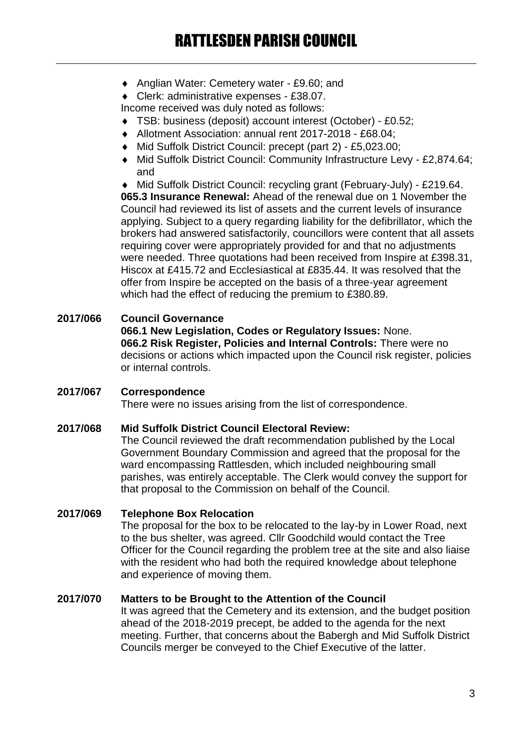Anglian Water: Cemetery water - £9.60; and

Clerk: administrative expenses - £38.07.

Income received was duly noted as follows:

- TSB: business (deposit) account interest (October) £0.52;
- Allotment Association: annual rent 2017-2018 £68.04;
- Mid Suffolk District Council: precept (part 2) £5,023.00;
- Mid Suffolk District Council: Community Infrastructure Levy £2,874.64; and

 Mid Suffolk District Council: recycling grant (February-July) - £219.64. **065.3 Insurance Renewal:** Ahead of the renewal due on 1 November the Council had reviewed its list of assets and the current levels of insurance applying. Subject to a query regarding liability for the defibrillator, which the brokers had answered satisfactorily, councillors were content that all assets requiring cover were appropriately provided for and that no adjustments were needed. Three quotations had been received from Inspire at £398.31, Hiscox at £415.72 and Ecclesiastical at £835.44. It was resolved that the offer from Inspire be accepted on the basis of a three-year agreement which had the effect of reducing the premium to £380.89.

## **2017/066 Council Governance**

**066.1 New Legislation, Codes or Regulatory Issues:** None. **066.2 Risk Register, Policies and Internal Controls:** There were no decisions or actions which impacted upon the Council risk register, policies or internal controls.

## **2017/067 Correspondence** There were no issues arising from the list of correspondence.

## **2017/068 Mid Suffolk District Council Electoral Review:**

The Council reviewed the draft recommendation published by the Local Government Boundary Commission and agreed that the proposal for the ward encompassing Rattlesden, which included neighbouring small parishes, was entirely acceptable. The Clerk would convey the support for that proposal to the Commission on behalf of the Council.

## **2017/069 Telephone Box Relocation**

The proposal for the box to be relocated to the lay-by in Lower Road, next to the bus shelter, was agreed. Cllr Goodchild would contact the Tree Officer for the Council regarding the problem tree at the site and also liaise with the resident who had both the required knowledge about telephone and experience of moving them.

## **2017/070 Matters to be Brought to the Attention of the Council**

It was agreed that the Cemetery and its extension, and the budget position ahead of the 2018-2019 precept, be added to the agenda for the next meeting. Further, that concerns about the Babergh and Mid Suffolk District Councils merger be conveyed to the Chief Executive of the latter.